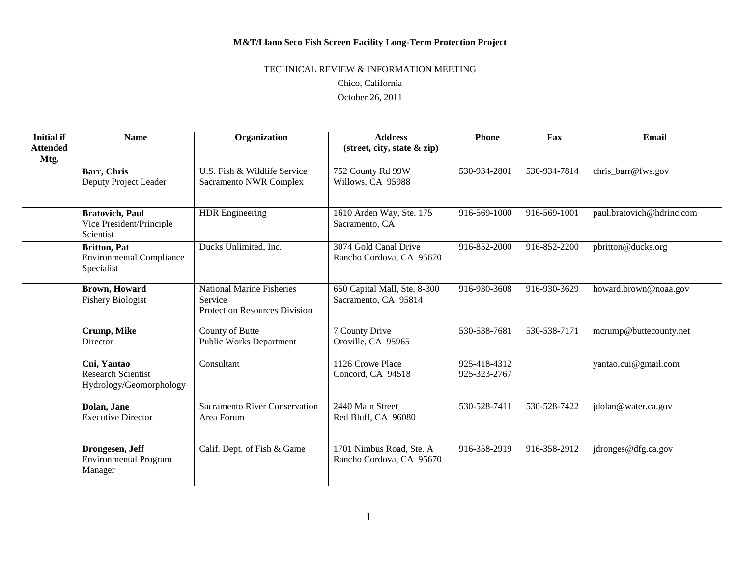TECHNICAL REVIEW & INFORMATION MEETING

Chico, California

October 26, 2011

| <b>Initial if</b><br><b>Attended</b><br>Mtg. | <b>Name</b>                                                          | Organization                                                                        | <b>Address</b><br>(street, city, state & zip)        | <b>Phone</b>                 | Fax          | Email                     |
|----------------------------------------------|----------------------------------------------------------------------|-------------------------------------------------------------------------------------|------------------------------------------------------|------------------------------|--------------|---------------------------|
|                                              | <b>Barr, Chris</b><br>Deputy Project Leader                          | U.S. Fish & Wildlife Service<br><b>Sacramento NWR Complex</b>                       | 752 County Rd 99W<br>Willows, CA 95988               | 530-934-2801                 | 530-934-7814 | chris barr@fws.gov        |
|                                              | <b>Bratovich, Paul</b><br>Vice President/Principle<br>Scientist      | <b>HDR</b> Engineering                                                              | 1610 Arden Way, Ste. 175<br>Sacramento, CA           | 916-569-1000                 | 916-569-1001 | paul.bratovich@hdrinc.com |
|                                              | <b>Britton, Pat</b><br><b>Environmental Compliance</b><br>Specialist | Ducks Unlimited, Inc.                                                               | 3074 Gold Canal Drive<br>Rancho Cordova, CA 95670    | 916-852-2000                 | 916-852-2200 | pbritton@ducks.org        |
|                                              | <b>Brown</b> , Howard<br><b>Fishery Biologist</b>                    | <b>National Marine Fisheries</b><br>Service<br><b>Protection Resources Division</b> | 650 Capital Mall, Ste. 8-300<br>Sacramento, CA 95814 | 916-930-3608                 | 916-930-3629 | howard.brown@noaa.gov     |
|                                              | Crump, Mike<br>Director                                              | County of Butte<br><b>Public Works Department</b>                                   | 7 County Drive<br>Oroville, CA 95965                 | 530-538-7681                 | 530-538-7171 | mcrump@buttecounty.net    |
|                                              | Cui, Yantao<br><b>Research Scientist</b><br>Hydrology/Geomorphology  | Consultant                                                                          | 1126 Crowe Place<br>Concord, CA 94518                | 925-418-4312<br>925-323-2767 |              | yantao.cui@gmail.com      |
|                                              | Dolan, Jane<br><b>Executive Director</b>                             | <b>Sacramento River Conservation</b><br>Area Forum                                  | 2440 Main Street<br>Red Bluff, CA 96080              | 530-528-7411                 | 530-528-7422 | jdolan@water.ca.gov       |
|                                              | Drongesen, Jeff<br><b>Environmental Program</b><br>Manager           | Calif. Dept. of Fish & Game                                                         | 1701 Nimbus Road, Ste. A<br>Rancho Cordova, CA 95670 | 916-358-2919                 | 916-358-2912 | jdronges@dfg.ca.gov       |

1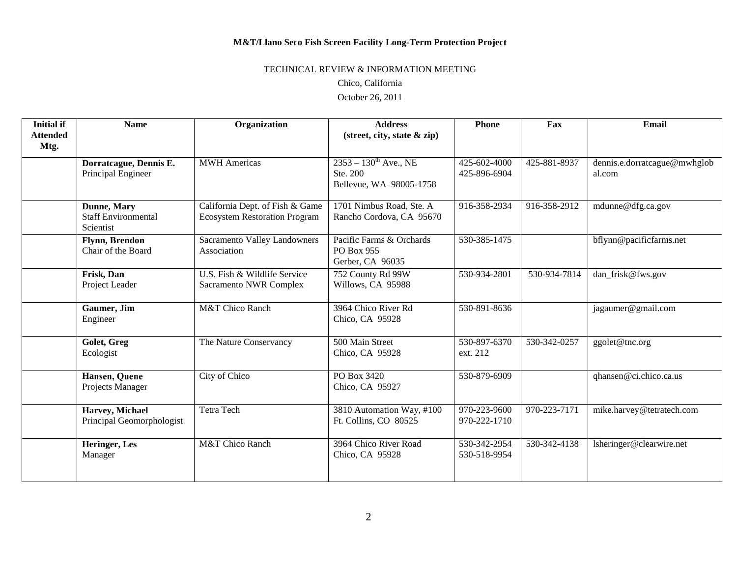TECHNICAL REVIEW & INFORMATION MEETING

Chico, California

| <b>Initial if</b>       | <b>Name</b>                                            | Organization                                                            | <b>Address</b>                                                    | <b>Phone</b>                 | Fax          | Email                                  |
|-------------------------|--------------------------------------------------------|-------------------------------------------------------------------------|-------------------------------------------------------------------|------------------------------|--------------|----------------------------------------|
| <b>Attended</b><br>Mtg. |                                                        |                                                                         | $(\text{street}, \text{city}, \text{state} \& \text{zip})$        |                              |              |                                        |
|                         | Dorratcague, Dennis E.<br>Principal Engineer           | <b>MWH</b> Americas                                                     | $2353 - 130^{th}$ Ave., NE<br>Ste. 200<br>Bellevue, WA 98005-1758 | 425-602-4000<br>425-896-6904 | 425-881-8937 | dennis.e.dorratcague@mwhglob<br>al.com |
|                         | Dunne, Mary<br><b>Staff Environmental</b><br>Scientist | California Dept. of Fish & Game<br><b>Ecosystem Restoration Program</b> | 1701 Nimbus Road, Ste. A<br>Rancho Cordova, CA 95670              | 916-358-2934                 | 916-358-2912 | mdunne@dfg.ca.gov                      |
|                         | Flynn, Brendon<br>Chair of the Board                   | Sacramento Valley Landowners<br>Association                             | Pacific Farms & Orchards<br>PO Box 955<br>Gerber, CA 96035        | 530-385-1475                 |              | bflynn@pacificfarms.net                |
|                         | Frisk, Dan<br>Project Leader                           | U.S. Fish & Wildlife Service<br>Sacramento NWR Complex                  | 752 County Rd 99W<br>Willows, CA 95988                            | 530-934-2801                 | 530-934-7814 | dan_frisk@fws.gov                      |
|                         | Gaumer, Jim<br>Engineer                                | M&T Chico Ranch                                                         | 3964 Chico River Rd<br>Chico, CA 95928                            | 530-891-8636                 |              | jagaumer@gmail.com                     |
|                         | Golet, Greg<br>Ecologist                               | The Nature Conservancy                                                  | 500 Main Street<br>Chico, CA 95928                                | 530-897-6370<br>ext. 212     | 530-342-0257 | ggolet@tnc.org                         |
|                         | Hansen, Quene<br>Projects Manager                      | City of Chico                                                           | PO Box 3420<br>Chico, CA 95927                                    | 530-879-6909                 |              | qhansen@ci.chico.ca.us                 |
|                         | Harvey, Michael<br>Principal Geomorphologist           | <b>Tetra Tech</b>                                                       | 3810 Automation Way, #100<br>Ft. Collins, CO 80525                | 970-223-9600<br>970-222-1710 | 970-223-7171 | mike.harvey@tetratech.com              |
|                         | Heringer, Les<br>Manager                               | M&T Chico Ranch                                                         | 3964 Chico River Road<br>Chico, CA 95928                          | 530-342-2954<br>530-518-9954 | 530-342-4138 | lsheringer@clearwire.net               |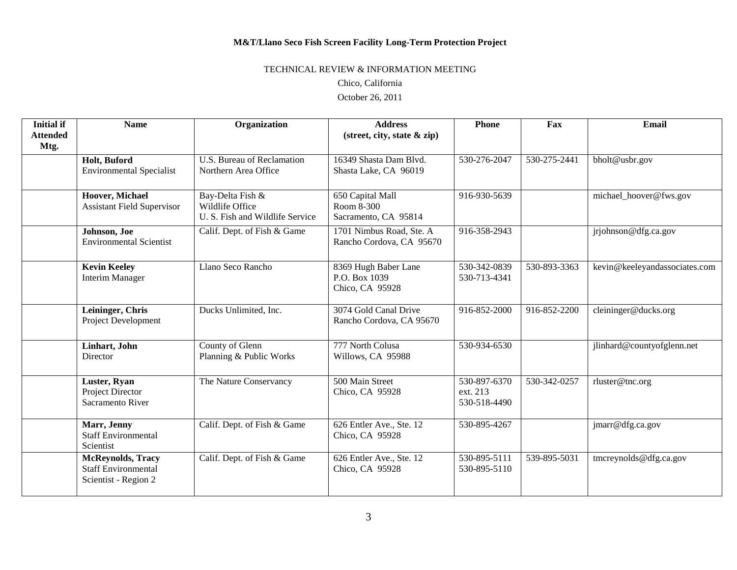TECHNICAL REVIEW & INFORMATION MEETING

Chico, California

| <b>Initial if</b><br><b>Attended</b><br>Mtg. | <b>Name</b>                                                                    | Organization                                                           | <b>Address</b><br>$(\text{street}, \text{city}, \text{state} \& \text{zip})$ | <b>Phone</b>                             | Fax          | <b>Email</b>                  |
|----------------------------------------------|--------------------------------------------------------------------------------|------------------------------------------------------------------------|------------------------------------------------------------------------------|------------------------------------------|--------------|-------------------------------|
|                                              | Holt, Buford<br><b>Environmental Specialist</b>                                | U.S. Bureau of Reclamation<br>Northern Area Office                     | 16349 Shasta Dam Blvd.<br>Shasta Lake, CA 96019                              | 530-276-2047                             | 530-275-2441 | bholt@usbr.gov                |
|                                              | Hoover, Michael<br><b>Assistant Field Supervisor</b>                           | Bay-Delta Fish &<br>Wildlife Office<br>U. S. Fish and Wildlife Service | 650 Capital Mall<br>Room 8-300<br>Sacramento, CA 95814                       | 916-930-5639                             |              | michael_hoover@fws.gov        |
|                                              | Johnson, Joe<br><b>Environmental Scientist</b>                                 | Calif. Dept. of Fish & Game                                            | 1701 Nimbus Road, Ste. A<br>Rancho Cordova, CA 95670                         | 916-358-2943                             |              | jrjohnson@dfg.ca.gov          |
|                                              | <b>Kevin Keeley</b><br><b>Interim Manager</b>                                  | Llano Seco Rancho                                                      | 8369 Hugh Baber Lane<br>P.O. Box 1039<br>Chico, CA 95928                     | 530-342-0839<br>530-713-4341             | 530-893-3363 | kevin@keeleyandassociates.com |
|                                              | Leininger, Chris<br><b>Project Development</b>                                 | Ducks Unlimited, Inc.                                                  | 3074 Gold Canal Drive<br>Rancho Cordova, CA 95670                            | 916-852-2000                             | 916-852-2200 | cleininger@ducks.org          |
|                                              | Linhart, John<br>Director                                                      | County of Glenn<br>Planning & Public Works                             | 777 North Colusa<br>Willows, CA 95988                                        | 530-934-6530                             |              | jlinhard@countyofglenn.net    |
|                                              | Luster, Ryan<br>Project Director<br>Sacramento River                           | The Nature Conservancy                                                 | 500 Main Street<br>Chico, CA 95928                                           | 530-897-6370<br>ext. 213<br>530-518-4490 | 530-342-0257 | rluster@tnc.org               |
|                                              | Marr, Jenny<br><b>Staff Environmental</b><br>Scientist                         | Calif. Dept. of Fish & Game                                            | 626 Entler Ave., Ste. 12<br>Chico, CA 95928                                  | 530-895-4267                             |              | jmarr@dfg.ca.gov              |
|                                              | <b>McReynolds, Tracy</b><br><b>Staff Environmental</b><br>Scientist - Region 2 | Calif. Dept. of Fish & Game                                            | 626 Entler Ave., Ste. 12<br>Chico, CA 95928                                  | 530-895-5111<br>530-895-5110             | 539-895-5031 | tmcreynolds@dfg.ca.gov        |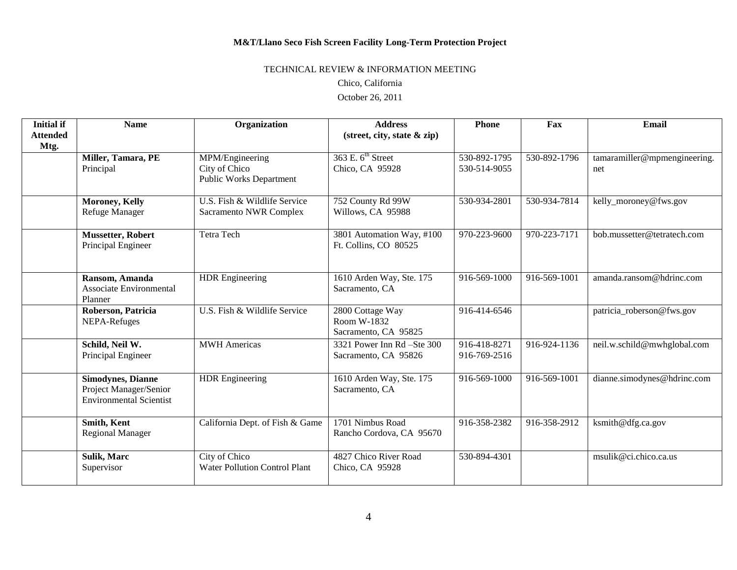TECHNICAL REVIEW & INFORMATION MEETING

Chico, California

| <b>Initial if</b><br><b>Attended</b> | <b>Name</b>                                                                          | Organization                                                       | <b>Address</b><br>(street, city, state & zip)           | <b>Phone</b>                 | Fax          | <b>Email</b>                        |
|--------------------------------------|--------------------------------------------------------------------------------------|--------------------------------------------------------------------|---------------------------------------------------------|------------------------------|--------------|-------------------------------------|
| Mtg.                                 |                                                                                      |                                                                    |                                                         |                              |              |                                     |
|                                      | Miller, Tamara, PE<br>Principal                                                      | MPM/Engineering<br>City of Chico<br><b>Public Works Department</b> | 363 E. $6th$ Street<br>Chico, CA 95928                  | 530-892-1795<br>530-514-9055 | 530-892-1796 | tamaramiller@mpmengineering.<br>net |
|                                      | <b>Moroney, Kelly</b><br>Refuge Manager                                              | U.S. Fish & Wildlife Service<br><b>Sacramento NWR Complex</b>      | 752 County Rd 99W<br>Willows, CA 95988                  | 530-934-2801                 | 530-934-7814 | kelly_moroney@fws.gov               |
|                                      | <b>Mussetter, Robert</b><br>Principal Engineer                                       | <b>Tetra Tech</b>                                                  | 3801 Automation Way, #100<br>Ft. Collins, CO 80525      | 970-223-9600                 | 970-223-7171 | bob.mussetter@tetratech.com         |
|                                      | Ransom, Amanda<br>Associate Environmental<br>Planner                                 | <b>HDR</b> Engineering                                             | 1610 Arden Way, Ste. 175<br>Sacramento, CA              | 916-569-1000                 | 916-569-1001 | amanda.ransom@hdrinc.com            |
|                                      | Roberson, Patricia<br>NEPA-Refuges                                                   | U.S. Fish & Wildlife Service                                       | 2800 Cottage Way<br>Room W-1832<br>Sacramento, CA 95825 | 916-414-6546                 |              | patricia_roberson@fws.gov           |
|                                      | Schild, Neil W.<br>Principal Engineer                                                | <b>MWH</b> Americas                                                | 3321 Power Inn Rd -Ste 300<br>Sacramento, CA 95826      | 916-418-8271<br>916-769-2516 | 916-924-1136 | neil.w.schild@mwhglobal.com         |
|                                      | <b>Simodynes, Dianne</b><br>Project Manager/Senior<br><b>Environmental Scientist</b> | <b>HDR</b> Engineering                                             | 1610 Arden Way, Ste. 175<br>Sacramento, CA              | 916-569-1000                 | 916-569-1001 | dianne.simodynes@hdrinc.com         |
|                                      | Smith, Kent<br><b>Regional Manager</b>                                               | California Dept. of Fish & Game                                    | 1701 Nimbus Road<br>Rancho Cordova, CA 95670            | 916-358-2382                 | 916-358-2912 | ksmith@dfg.ca.gov                   |
|                                      | <b>Sulik, Marc</b><br>Supervisor                                                     | City of Chico<br><b>Water Pollution Control Plant</b>              | 4827 Chico River Road<br>Chico, CA 95928                | 530-894-4301                 |              | msulik@ci.chico.ca.us               |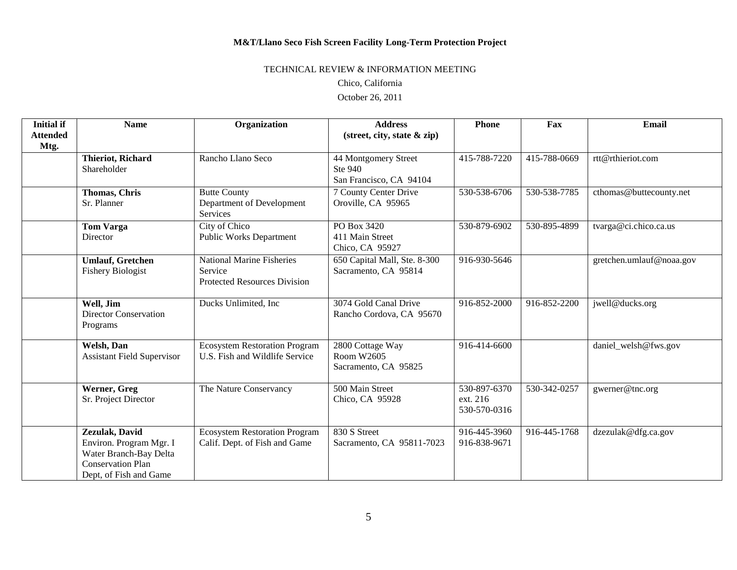TECHNICAL REVIEW & INFORMATION MEETING

# Chico, California

| <b>Initial if</b><br><b>Attended</b><br>Mtg. | <b>Name</b>                                                                                                               | Organization                                                                       | <b>Address</b><br>(street, city, state & zip)                 | <b>Phone</b>                             | Fax          | <b>Email</b>             |
|----------------------------------------------|---------------------------------------------------------------------------------------------------------------------------|------------------------------------------------------------------------------------|---------------------------------------------------------------|------------------------------------------|--------------|--------------------------|
|                                              | <b>Thieriot, Richard</b><br>Shareholder                                                                                   | Rancho Llano Seco                                                                  | 44 Montgomery Street<br>Ste 940<br>San Francisco, CA 94104    | 415-788-7220                             | 415-788-0669 | rtt@rthieriot.com        |
|                                              | <b>Thomas, Chris</b><br>Sr. Planner                                                                                       | <b>Butte County</b><br>Department of Development<br>Services                       | 7 County Center Drive<br>Oroville, CA 95965                   | 530-538-6706                             | 530-538-7785 | cthomas@buttecounty.net  |
|                                              | <b>Tom Varga</b><br>Director                                                                                              | City of Chico<br><b>Public Works Department</b>                                    | PO Box 3420<br>411 Main Street<br>Chico, CA 95927             | 530-879-6902                             | 530-895-4899 | tvarga@ci.chico.ca.us    |
|                                              | <b>Umlauf, Gretchen</b><br><b>Fishery Biologist</b>                                                                       | <b>National Marine Fisheries</b><br>Service<br><b>Protected Resources Division</b> | 650 Capital Mall, Ste. 8-300<br>Sacramento, CA 95814          | 916-930-5646                             |              | gretchen.umlauf@noaa.gov |
|                                              | Well, Jim<br><b>Director Conservation</b><br>Programs                                                                     | Ducks Unlimited, Inc                                                               | 3074 Gold Canal Drive<br>Rancho Cordova, CA 95670             | 916-852-2000                             | 916-852-2200 | jwell@ducks.org          |
|                                              | Welsh, Dan<br><b>Assistant Field Supervisor</b>                                                                           | <b>Ecosystem Restoration Program</b><br>U.S. Fish and Wildlife Service             | 2800 Cottage Way<br><b>Room W2605</b><br>Sacramento, CA 95825 | 916-414-6600                             |              | daniel_welsh@fws.gov     |
|                                              | Werner, Greg<br>Sr. Project Director                                                                                      | The Nature Conservancy                                                             | 500 Main Street<br>Chico, CA 95928                            | 530-897-6370<br>ext. 216<br>530-570-0316 | 530-342-0257 | gwerner@tnc.org          |
|                                              | Zezulak, David<br>Environ. Program Mgr. I<br>Water Branch-Bay Delta<br><b>Conservation Plan</b><br>Dept, of Fish and Game | <b>Ecosystem Restoration Program</b><br>Calif. Dept. of Fish and Game              | 830 S Street<br>Sacramento, CA 95811-7023                     | 916-445-3960<br>916-838-9671             | 916-445-1768 | dzezulak@dfg.ca.gov      |